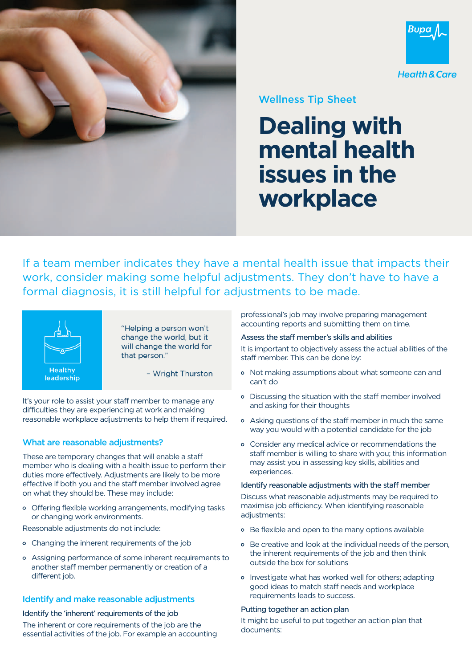



## Wellness Tip Sheet

# **Dealing with mental health issues in the workplace**

If a team member indicates they have a mental health issue that impacts their work, consider making some helpful adjustments. They don't have to have a formal diagnosis, it is still helpful for adjustments to be made.



"Helping a person won't change the world, but it will change the world for that person."

- Wright Thurston

It's your role to assist your staff member to manage any difficulties they are experiencing at work and making reasonable workplace adjustments to help them if required.

### What are reasonable adjustments?

These are temporary changes that will enable a staff member who is dealing with a health issue to perform their duties more effectively. Adjustments are likely to be more effective if both you and the staff member involved agree on what they should be. These may include:

Offering flexible working arrangements, modifying tasks or changing work environments.

Reasonable adjustments do not include:

- Changing the inherent requirements of the job
- Assigning performance of some inherent requirements to another staff member permanently or creation of a different job.

#### Identify and make reasonable adjustments

#### Identify the 'inherent' requirements of the job

The inherent or core requirements of the job are the essential activities of the job. For example an accounting professional's job may involve preparing management accounting reports and submitting them on time.

#### Assess the staff member's skills and abilities

It is important to objectively assess the actual abilities of the staff member. This can be done by:

- Not making assumptions about what someone can and can't do
- Discussing the situation with the staff member involved and asking for their thoughts
- Asking questions of the staff member in much the same way you would with a potential candidate for the job
- Consider any medical advice or recommendations the staff member is willing to share with you; this information may assist you in assessing key skills, abilities and experiences.

#### Identify reasonable adjustments with the staff member

Discuss what reasonable adjustments may be required to maximise job efficiency. When identifying reasonable adjustments:

- Be flexible and open to the many options available
- Be creative and look at the individual needs of the person, the inherent requirements of the job and then think outside the box for solutions
- o Investigate what has worked well for others; adapting good ideas to match staff needs and workplace requirements leads to success.

#### Putting together an action plan

It might be useful to put together an action plan that documents: